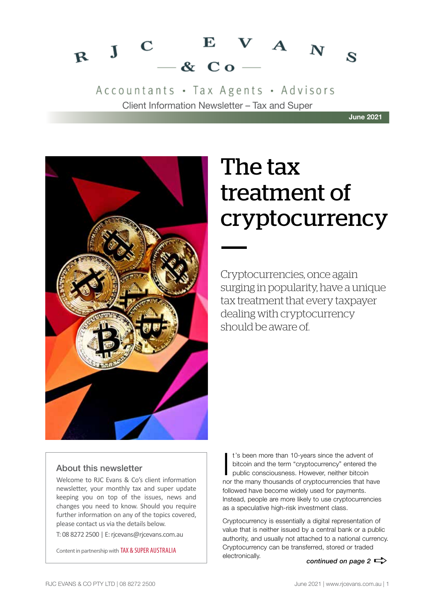#### $V A_N$ E  $\mathbf C$  $R \quad J$ S.  $-$  &  $C_0$

Accountants · Tax Agents · Advisors Client Information Newsletter – Tax and Super

**June 2021**



# The tax treatment of cryptocurrency

Cryptocurrencies, once again surging in popularity, have a unique tax treatment that every taxpayer dealing with cryptocurrency should be aware of.

# About this newsletter

Welcome to RJC Evans & Co's client information newsletter, your monthly tax and super update keeping you on top of the issues, news and changes you need to know. Should you require further information on any of the topics covered, please contact us via the details below.

T: 08 8272 2500 | E: rjcevans@rjcevans.com.au

Content in partnership with TAX & SUPER AUSTRALIA

It's been more than 10-years since the advent of<br>bitcoin and the term "cryptocurrency" entered the<br>public consciousness. However, neither bitcoin<br>nor the many thousands of cryptocurrencies that have t's been more than 10-years since the advent of bitcoin and the term "cryptocurrency" entered the public consciousness. However, neither bitcoin followed have become widely used for payments. Instead, people are more likely to use cryptocurrencies as a speculative high-risk investment class.

Cryptocurrency is essentially a digital representation of value that is neither issued by a central bank or a public authority, and usually not attached to a national currency. Cryptocurrency can be transferred, stored or traded electronically.

*continued on page 2*  $\Rightarrow$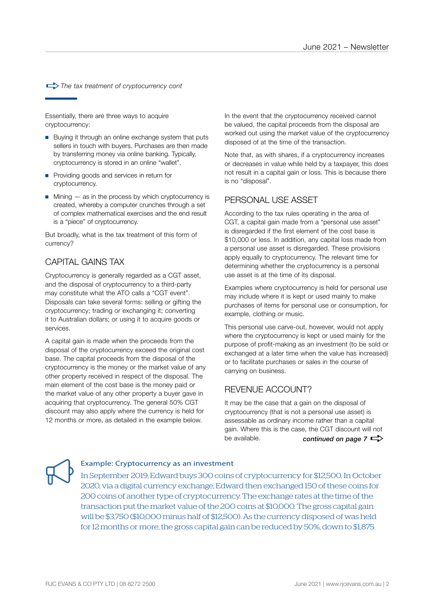The tax treatment of cryptocurrency cont

Essentially, there are three ways to acquire cryptocurrency:

- Buying it through an online exchange system that puts sellers in touch with buyers. Purchases are then made by transferring money via online banking. Typically, cryptocurrency is stored in an online "wallet".
- Providing goods and services in return for cryptocurrency.
- $\blacksquare$  Mining  $-$  as in the process by which cryptocurrency is created, whereby a computer crunches through a set of complex mathematical exercises and the end result is a "piece" of cryptocurrency.

But broadly, what is the tax treatment of this form of currency?

# CAPITAL GAINS TAX

Cryptocurrency is generally regarded as a CGT asset, and the disposal of cryptocurrency to a third-party may constitute what the ATO calls a "CGT event". Disposals can take several forms: selling or gifting the cryptocurrency; trading or exchanging it; converting it to Australian dollars; or using it to acquire goods or services.

A capital gain is made when the proceeds from the disposal of the cryptocurrency exceed the original cost base. The capital proceeds from the disposal of the cryptocurrency is the money or the market value of any other property received in respect of the disposal. The main element of the cost base is the money paid or the market value of any other property a buyer gave in acquiring that cryptocurrency. The general 50% CGT discount may also apply where the currency is held for 12 months or more, as detailed in the example below.

In the event that the cryptocurrency received cannot be valued, the capital proceeds from the disposal are worked out using the market value of the cryptocurrency disposed of at the time of the transaction.

Note that, as with shares, if a cryptocurrency increases or decreases in value while held by a taxpayer, this does not result in a capital gain or loss. This is because there is no "disposal".

# PERSONAL USE ASSET

According to the tax rules operating in the area of CGT, a capital gain made from a "personal use asset" is disregarded if the first element of the cost base is \$10,000 or less. In addition, any capital loss made from a personal use asset is disregarded. These provisions apply equally to cryptocurrency. The relevant time for determining whether the cryptocurrency is a personal use asset is at the time of its disposal.

Examples where cryptocurrency is held for personal use may include where it is kept or used mainly to make purchases of items for personal use or consumption, for example, clothing or music.

This personal use carve-out, however, would not apply where the cryptocurrency is kept or used mainly for the purpose of profit-making as an investment (to be sold or exchanged at a later time when the value has increased) or to facilitate purchases or sales in the course of carrying on business.

# REVENUE ACCOUNT?

*continued on page 7*  $\Rightarrow$ It may be the case that a gain on the disposal of cryptocurrency (that is not a personal use asset) is assessable as ordinary income rather than a capital gain. Where this is the case, the CGT discount will not be available.

#### Example: Cryptocurrency as an investment

In September 2019, Edward buys 300 coins of cryptocurrency for \$12,500. In October 2020, via a digital currency exchange, Edward then exchanged 150 of these coins for 200 coins of another type of cryptocurrency. The exchange rates at the time of the transaction put the market value of the 200 coins at \$10,000. The gross capital gain will be \$3,750 (\$10,000 minus half of \$12,500). As the currency disposed of was held for 12 months or more, the gross capital gain can be reduced by 50%, down to \$1,875.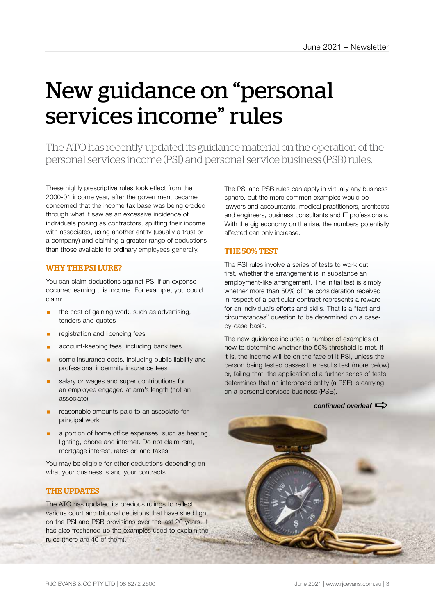# New guidance on "personal services income" rules

The ATO has recently updated its guidance material on the operation of the personal services income (PSI) and personal service business (PSB) rules.

These highly prescriptive rules took effect from the 2000-01 income year, after the government became concerned that the income tax base was being eroded through what it saw as an excessive incidence of individuals posing as contractors, splitting their income with associates, using another entity (usually a trust or a company) and claiming a greater range of deductions than those available to ordinary employees generally.

## WHY THE PSI LURE?

You can claim deductions against PSI if an expense occurred earning this income. For example, you could claim:

- the cost of gaining work, such as advertising, tenders and quotes
- registration and licencing fees
- account-keeping fees, including bank fees
- some insurance costs, including public liability and professional indemnity insurance fees
- salary or wages and super contributions for an employee engaged at arm's length (not an associate)
- reasonable amounts paid to an associate for principal work
- a portion of home office expenses, such as heating, lighting, phone and internet. Do not claim rent, mortgage interest, rates or land taxes.

You may be eligible for other deductions depending on what your business is and your contracts.

# THE UPDATES

The ATO has updated its previous rulings to reflect various court and tribunal decisions that have shed light on the PSI and PSB provisions over the last 20 years. It has also freshened up the examples used to explain the rules (there are 40 of them).

The PSI and PSB rules can apply in virtually any business sphere, but the more common examples would be lawyers and accountants, medical practitioners, architects and engineers, business consultants and IT professionals. With the gig economy on the rise, the numbers potentially affected can only increase.

## THE 50% TEST

The PSI rules involve a series of tests to work out first, whether the arrangement is in substance an employment-like arrangement. The initial test is simply whether more than 50% of the consideration received in respect of a particular contract represents a reward for an individual's efforts and skills. That is a "fact and circumstances" question to be determined on a caseby-case basis.

The new guidance includes a number of examples of how to determine whether the 50% threshold is met. If it is, the income will be on the face of it PSI, unless the person being tested passes the results test (more below) or, failing that, the application of a further series of tests determines that an interposed entity (a PSE) is carrying on a personal services business (PSB).

#### *continued overleaf*  $\Rightarrow$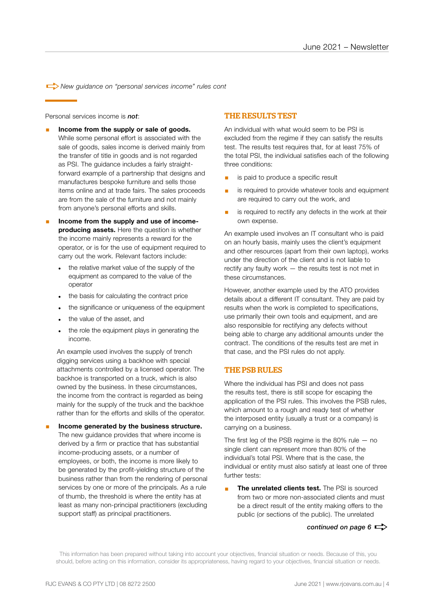a*New guidance on "personal services income" rules cont*

Personal services income is *not*:

- § **Income from the supply or sale of goods.** While some personal effort is associated with the sale of goods, sales income is derived mainly from the transfer of title in goods and is not regarded as PSI. The guidance includes a fairly straightforward example of a partnership that designs and manufactures bespoke furniture and sells those items online and at trade fairs. The sales proceeds are from the sale of the furniture and not mainly from anyone's personal efforts and skills.
- § **Income from the supply and use of incomeproducing assets.** Here the question is whether the income mainly represents a reward for the operator, or is for the use of equipment required to carry out the work. Relevant factors include:
	- the relative market value of the supply of the equipment as compared to the value of the operator
	- the basis for calculating the contract price
	- the significance or uniqueness of the equipment
	- the value of the asset, and
	- the role the equipment plays in generating the income.

An example used involves the supply of trench digging services using a backhoe with special attachments controlled by a licensed operator. The backhoe is transported on a truck, which is also owned by the business. In these circumstances, the income from the contract is regarded as being mainly for the supply of the truck and the backhoe rather than for the efforts and skills of the operator.

§ **Income generated by the business structure.**  The new guidance provides that where income is derived by a firm or practice that has substantial income-producing assets, or a number of employees, or both, the income is more likely to be generated by the profit-yielding structure of the business rather than from the rendering of personal services by one or more of the principals. As a rule of thumb, the threshold is where the entity has at least as many non-principal practitioners (excluding support staff) as principal practitioners.

## THE RESULTS TEST

An individual with what would seem to be PSI is excluded from the regime if they can satisfy the results test. The results test requires that, for at least 75% of the total PSI, the individual satisfies each of the following three conditions:

- is paid to produce a specific result
- is required to provide whatever tools and equipment are required to carry out the work, and
- is required to rectify any defects in the work at their own expense.

An example used involves an IT consultant who is paid on an hourly basis, mainly uses the client's equipment and other resources (apart from their own laptop), works under the direction of the client and is not liable to rectify any faulty work — the results test is not met in these circumstances.

However, another example used by the ATO provides details about a different IT consultant. They are paid by results when the work is completed to specifications, use primarily their own tools and equipment, and are also responsible for rectifying any defects without being able to charge any additional amounts under the contract. The conditions of the results test are met in that case, and the PSI rules do not apply.

## THE PSB RULES

Where the individual has PSI and does not pass the results test, there is still scope for escaping the application of the PSI rules. This involves the PSB rules, which amount to a rough and ready test of whether the interposed entity (usually a trust or a company) is carrying on a business.

The first leg of the PSB regime is the 80% rule  $-$  no single client can represent more than 80% of the individual's total PSI. Where that is the case, the individual or entity must also satisfy at least one of three further tests:

**The unrelated clients test.** The PSI is sourced from two or more non-associated clients and must be a direct result of the entity making offers to the public (or sections of the public). The unrelated

#### *continued on page 6*  $\Rightarrow$

This information has been prepared without taking into account your objectives, financial situation or needs. Because of this, you should, before acting on this information, consider its appropriateness, having regard to your objectives, financial situation or needs.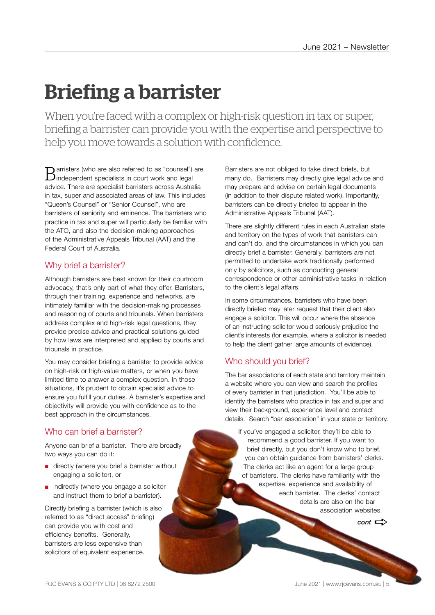# Briefing a barrister

When you're faced with a complex or high-risk question in tax or super, briefing a barrister can provide you with the expertise and perspective to help you move towards a solution with confidence.

Barristers (who are also referred to as "counsel") are independent specialists in court work and legal advice. There are specialist barristers across Australia in tax, super and associated areas of law. This includes "Queen's Counsel" or "Senior Counsel", who are barristers of seniority and eminence. The barristers who practice in tax and super will particularly be familiar with the ATO, and also the decision-making approaches of the Administrative Appeals Tribunal (AAT) and the Federal Court of Australia.

# Why brief a barrister?

Although barristers are best known for their courtroom advocacy, that's only part of what they offer. Barristers, through their training, experience and networks, are intimately familiar with the decision-making processes and reasoning of courts and tribunals. When barristers address complex and high-risk legal questions, they provide precise advice and practical solutions guided by how laws are interpreted and applied by courts and tribunals in practice.

You may consider briefing a barrister to provide advice on high-risk or high-value matters, or when you have limited time to answer a complex question. In those situations, it's prudent to obtain specialist advice to ensure you fulfill your duties. A barrister's expertise and objectivity will provide you with confidence as to the best approach in the circumstances.

# Who can brief a barrister?

Anyone can brief a barrister. There are broadly two ways you can do it:

- directly (where you brief a barrister without engaging a solicitor), or
- indirectly (where you engage a solicitor and instruct them to brief a barrister).

Directly briefing a barrister (which is also referred to as "direct access" briefing) can provide you with cost and efficiency benefits. Generally, barristers are less expensive than solicitors of equivalent experience.

Barristers are not obliged to take direct briefs, but many do. Barristers may directly give legal advice and may prepare and advise on certain legal documents (in addition to their dispute related work). Importantly, barristers can be directly briefed to appear in the Administrative Appeals Tribunal (AAT).

There are slightly different rules in each Australian state and territory on the types of work that barristers can and can't do, and the circumstances in which you can directly brief a barrister. Generally, barristers are not permitted to undertake work traditionally performed only by solicitors, such as conducting general correspondence or other administrative tasks in relation to the client's legal affairs.

In some circumstances, barristers who have been directly briefed may later request that their client also engage a solicitor. This will occur where the absence of an instructing solicitor would seriously prejudice the client's interests (for example, where a solicitor is needed to help the client gather large amounts of evidence).

# Who should you brief?

The bar associations of each state and territory maintain a website where you can view and search the profiles of every barrister in that jurisdiction. You'll be able to identify the barristers who practice in tax and super and view their background, experience level and contact details. Search "bar association" in your state or territory.

If you've engaged a solicitor, they'll be able to recommend a good barrister. If you want to brief directly, but you don't know who to brief, you can obtain guidance from barristers' clerks. The clerks act like an agent for a large group of barristers. The clerks have familiarity with the expertise, experience and availability of each barrister. The clerks' contact details are also on the bar association websites.

 $cont \rightleftarrows$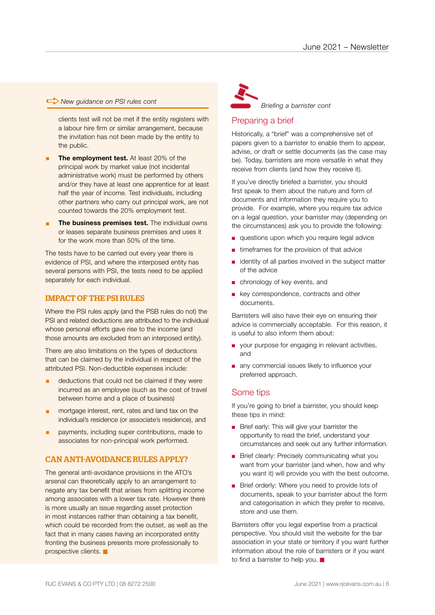#### a*New guidance on PSI rules cont*

clients test will not be met if the entity registers with a labour hire firm or similar arrangement, because the invitation has not been made by the entity to the public.

- **The employment test.** At least 20% of the principal work by market value (not incidental administrative work) must be performed by others and/or they have at least one apprentice for at least half the year of income. Test individuals, including other partners who carry out principal work, are not counted towards the 20% employment test.
- **The business premises test.** The individual owns or leases separate business premises and uses it for the work more than 50% of the time.

The tests have to be carried out every year there is evidence of PSI, and where the interposed entity has several persons with PSI, the tests need to be applied separately for each individual.

#### IMPACT OF THE PSI RULES

Where the PSI rules apply (and the PSB rules do not) the PSI and related deductions are attributed to the individual whose personal efforts gave rise to the income (and those amounts are excluded from an interposed entity).

There are also limitations on the types of deductions that can be claimed by the individual in respect of the attributed PSI. Non-deductible expenses include:

- deductions that could not be claimed if they were incurred as an employee (such as the cost of travel between home and a place of business)
- § mortgage interest, rent, rates and land tax on the individual's residence (or associate's residence), and
- payments, including super contributions, made to associates for non-principal work performed.

#### CAN ANTI-AVOIDANCE RULES APPLY?

The general anti-avoidance provisions in the ATO's arsenal can theoretically apply to an arrangement to negate any tax benefit that arises from splitting income among associates with a lower tax rate. However there is more usually an issue regarding asset protection in most instances rather than obtaining a tax benefit, which could be recorded from the outset, as well as the fact that in many cases having an incorporated entity fronting the business presents more professionally to prospective clients.



# Preparing a brief

Historically, a "brief" was a comprehensive set of papers given to a barrister to enable them to appear, advise, or draft or settle documents (as the case may be). Today, barristers are more versatile in what they receive from clients (and how they receive it).

If you've directly briefed a barrister, you should first speak to them about the nature and form of documents and information they require you to provide. For example, where you require tax advice on a legal question, your barrister may (depending on the circumstances) ask you to provide the following:

- questions upon which you require legal advice
- timeframes for the provision of that advice
- identity of all parties involved in the subject matter of the advice
- chronology of key events, and
- key correspondence, contracts and other documents.

Barristers will also have their eye on ensuring their advice is commercially acceptable. For this reason, it is useful to also inform them about:

- your purpose for engaging in relevant activities, and
- any commercial issues likely to influence your preferred approach.

# Some tips

If you're going to brief a barrister, you should keep these tips in mind:

- Brief early: This will give your barrister the opportunity to read the brief, understand your circumstances and seek out any further information.
- Brief clearly: Precisely communicating what you want from your barrister (and when, how and why you want it) will provide you with the best outcome.
- Brief orderly: Where you need to provide lots of documents, speak to your barrister about the form and categorisation in which they prefer to receive, store and use them.

Barristers offer you legal expertise from a practical perspective. You should visit the website for the bar association in your state or territory if you want further information about the role of barristers or if you want to find a barrister to help you. ■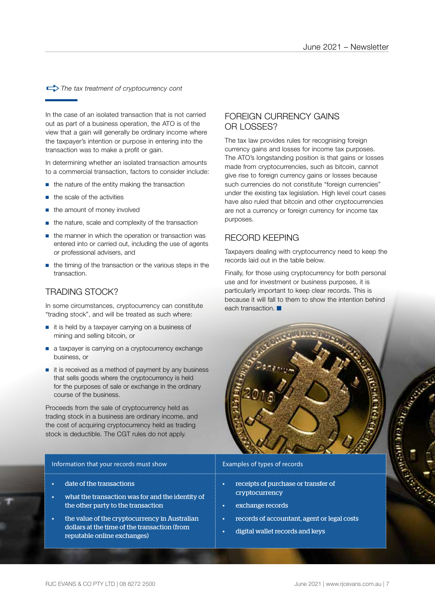The tax treatment of cryptocurrency cont

In the case of an isolated transaction that is not carried out as part of a business operation, the ATO is of the view that a gain will generally be ordinary income where the taxpayer's intention or purpose in entering into the transaction was to make a profit or gain.

In determining whether an isolated transaction amounts to a commercial transaction, factors to consider include:

- the nature of the entity making the transaction
- the scale of the activities
- the amount of money involved
- the nature, scale and complexity of the transaction
- the manner in which the operation or transaction was entered into or carried out, including the use of agents or professional advisers, and
- the timing of the transaction or the various steps in the transaction.

# TRADING STOCK?

In some circumstances, cryptocurrency can constitute "trading stock", and will be treated as such where:

- it is held by a taxpayer carrying on a business of mining and selling bitcoin, or
- a taxpayer is carrying on a cryptocurrency exchange business, or
- it is received as a method of payment by any business that sells goods where the cryptocurrency is held for the purposes of sale or exchange in the ordinary course of the business.

Proceeds from the sale of cryptocurrency held as trading stock in a business are ordinary income, and the cost of acquiring cryptocurrency held as trading stock is deductible. The CGT rules do not apply.

#### Information that your records must show **Examples of types of records**

- date of the transactions
- what the transaction was for and the identity of the other party to the transaction
- the value of the cryptocurrency in Australian dollars at the time of the transaction (from reputable online exchanges)

# FOREIGN CURRENCY GAINS OR LOSSES?

The tax law provides rules for recognising foreign currency gains and losses for income tax purposes. The ATO's longstanding position is that gains or losses made from cryptocurrencies, such as bitcoin, cannot give rise to foreign currency gains or losses because such currencies do not constitute "foreign currencies" under the existing tax legislation. High level court cases have also ruled that bitcoin and other cryptocurrencies are not a currency or foreign currency for income tax purposes.

# RECORD KEEPING

Taxpayers dealing with cryptocurrency need to keep the records laid out in the table below.

Finally, for those using cryptocurrency for both personal use and for investment or business purposes, it is particularly important to keep clear records. This is because it will fall to them to show the intention behind each transaction.



• receipts of purchase or transfer of cryptocurrency

- exchange records
- records of accountant, agent or legal costs
- digital wallet records and keys

**COUNTY**